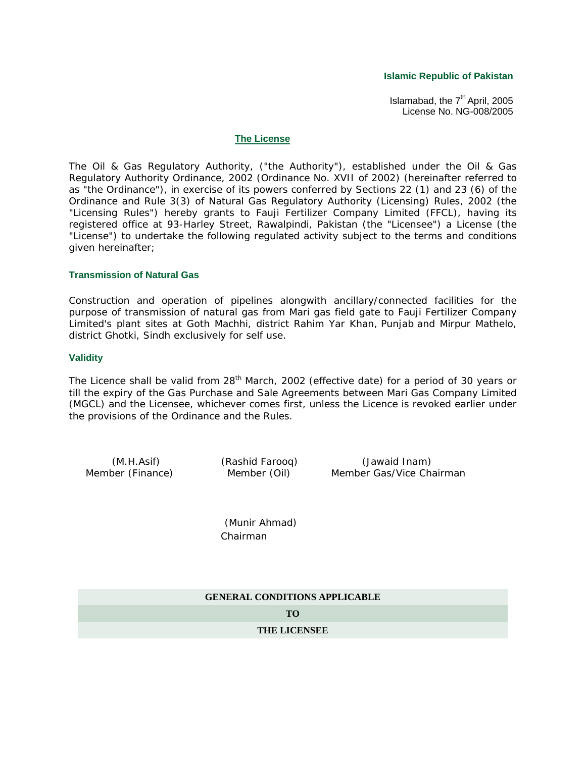**Islamic Republic of Pakistan**

Islamabad, the  $7<sup>th</sup>$  April, 2005 License No. NG-008/2005

### **The License**

The Oil & Gas Regulatory Authority, ("the Authority"), established under the Oil & Gas Regulatory Authority Ordinance, 2002 (Ordinance No. XVII of 2002) (hereinafter referred to as "the Ordinance"), in exercise of its powers conferred by Sections 22 (1) and 23 (6) of the Ordinance and Rule 3(3) of Natural Gas Regulatory Authority (Licensing) Rules, 2002 (the "Licensing Rules") hereby grants to Fauji Fertilizer Company Limited (FFCL), having its registered office at 93-Harley Street, Rawalpindi, Pakistan (the "Licensee") a License (the "License") to undertake the following regulated activity subject to the terms and conditions given hereinafter;

### **Transmission of Natural Gas**

Construction and operation of pipelines alongwith ancillary/connected facilities for the purpose of transmission of natural gas from Mari gas field gate to Fauji Fertilizer Company Limited's plant sites at Goth Machhi, district Rahim Yar Khan, Punjab and Mirpur Mathelo, district Ghotki, Sindh exclusively for self use.

### **Validity**

The Licence shall be valid from 28<sup>th</sup> March, 2002 (effective date) for a period of 30 years or till the expiry of the Gas Purchase and Sale Agreements between Mari Gas Company Limited (MGCL) and the Licensee, whichever comes first, unless the Licence is revoked earlier under the provisions of the Ordinance and the Rules.

(M.H.Asif) (Rashid Farooq) (Jawaid Inam) Member (Finance) Member (Oil) Member Gas/Vice Chairman

> (Munir Ahmad) Chairman

**GENERAL CONDITIONS APPLICABLE**

**TO**

**THE LICENSEE**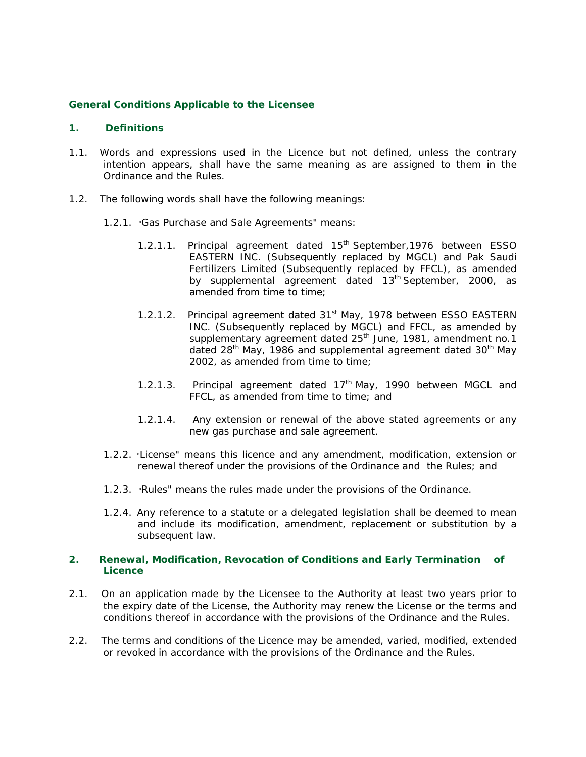## **General Conditions Applicable to the Licensee**

### **1. Definitions**

- 1.1. Words and expressions used in the Licence but not defined, unless the contrary intention appears, shall have the same meaning as are assigned to them in the Ordinance and the Rules.
- 1.2. The following words shall have the following meanings:
	- 1.2.1. "Gas Purchase and Sale Agreements" means:
		- 1.2.1.1. Principal agreement dated 15<sup>th</sup> September, 1976 between ESSO EASTERN INC. (Subsequently replaced by MGCL) and Pak Saudi Fertilizers Limited (Subsequently replaced by FFCL), as amended by supplemental agreement dated  $13<sup>th</sup>$  September, 2000, as amended from time to time;
		- 1.2.1.2. Principal agreement dated 31<sup>st</sup> May, 1978 between ESSO EASTERN INC. (Subsequently replaced by MGCL) and FFCL, as amended by supplementary agreement dated 25<sup>th</sup> June, 1981, amendment no.1 dated 28<sup>th</sup> May, 1986 and supplemental agreement dated 30<sup>th</sup> May 2002, as amended from time to time;
		- 1.2.1.3. Principal agreement dated  $17<sup>th</sup>$  May, 1990 between MGCL and FFCL, as amended from time to time; and
		- 1.2.1.4. Any extension or renewal of the above stated agreements or any new gas purchase and sale agreement.
	- 1.2.2. "License" means this licence and any amendment, modification, extension or renewal thereof under the provisions of the Ordinance and the Rules; and
	- 1.2.3. "Rules" means the rules made under the provisions of the Ordinance.
	- 1.2.4. Any reference to a statute or a delegated legislation shall be deemed to mean and include its modification, amendment, replacement or substitution by a subsequent law.

## **2. Renewal, Modification, Revocation of Conditions and Early Termination of Licence**

- 2.1. On an application made by the Licensee to the Authority at least two years prior to the expiry date of the License, the Authority may renew the License or the terms and conditions thereof in accordance with the provisions of the Ordinance and the Rules.
- 2.2. The terms and conditions of the Licence may be amended, varied, modified, extended or revoked in accordance with the provisions of the Ordinance and the Rules.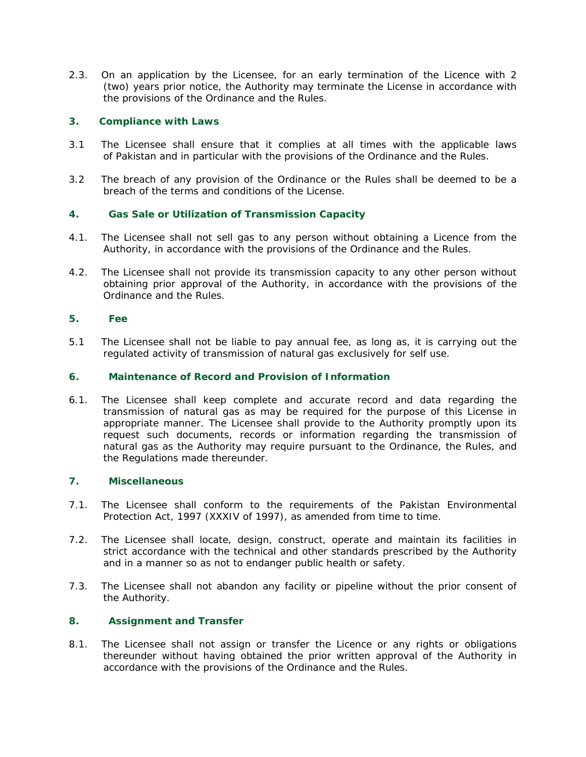2.3. On an application by the Licensee, for an early termination of the Licence with 2 (two) years prior notice, the Authority may terminate the License in accordance with the provisions of the Ordinance and the Rules.

# **3. Compliance with Laws**

- 3.1 The Licensee shall ensure that it complies at all times with the applicable laws of Pakistan and in particular with the provisions of the Ordinance and the Rules.
- 3.2 The breach of any provision of the Ordinance or the Rules shall be deemed to be a breach of the terms and conditions of the License.

# **4. Gas Sale or Utilization of Transmission Capacity**

- 4.1. The Licensee shall not sell gas to any person without obtaining a Licence from the Authority, in accordance with the provisions of the Ordinance and the Rules.
- 4.2. The Licensee shall not provide its transmission capacity to any other person without obtaining prior approval of the Authority, in accordance with the provisions of the Ordinance and the Rules.

# **5. Fee**

5.1 The Licensee shall not be liable to pay annual fee, as long as, it is carrying out the regulated activity of transmission of natural gas exclusively for self use.

# **6. Maintenance of Record and Provision of Information**

6.1. The Licensee shall keep complete and accurate record and data regarding the transmission of natural gas as may be required for the purpose of this License in appropriate manner. The Licensee shall provide to the Authority promptly upon its request such documents, records or information regarding the transmission of natural gas as the Authority may require pursuant to the Ordinance, the Rules, and the Regulations made thereunder.

# **7. Miscellaneous**

- 7.1. The Licensee shall conform to the requirements of the Pakistan Environmental Protection Act, 1997 (XXXIV of 1997), as amended from time to time.
- 7.2. The Licensee shall locate, design, construct, operate and maintain its facilities in strict accordance with the technical and other standards prescribed by the Authority and in a manner so as not to endanger public health or safety.
- 7.3. The Licensee shall not abandon any facility or pipeline without the prior consent of the Authority.

# **8. Assignment and Transfer**

8.1. The Licensee shall not assign or transfer the Licence or any rights or obligations thereunder without having obtained the prior written approval of the Authority in accordance with the provisions of the Ordinance and the Rules.